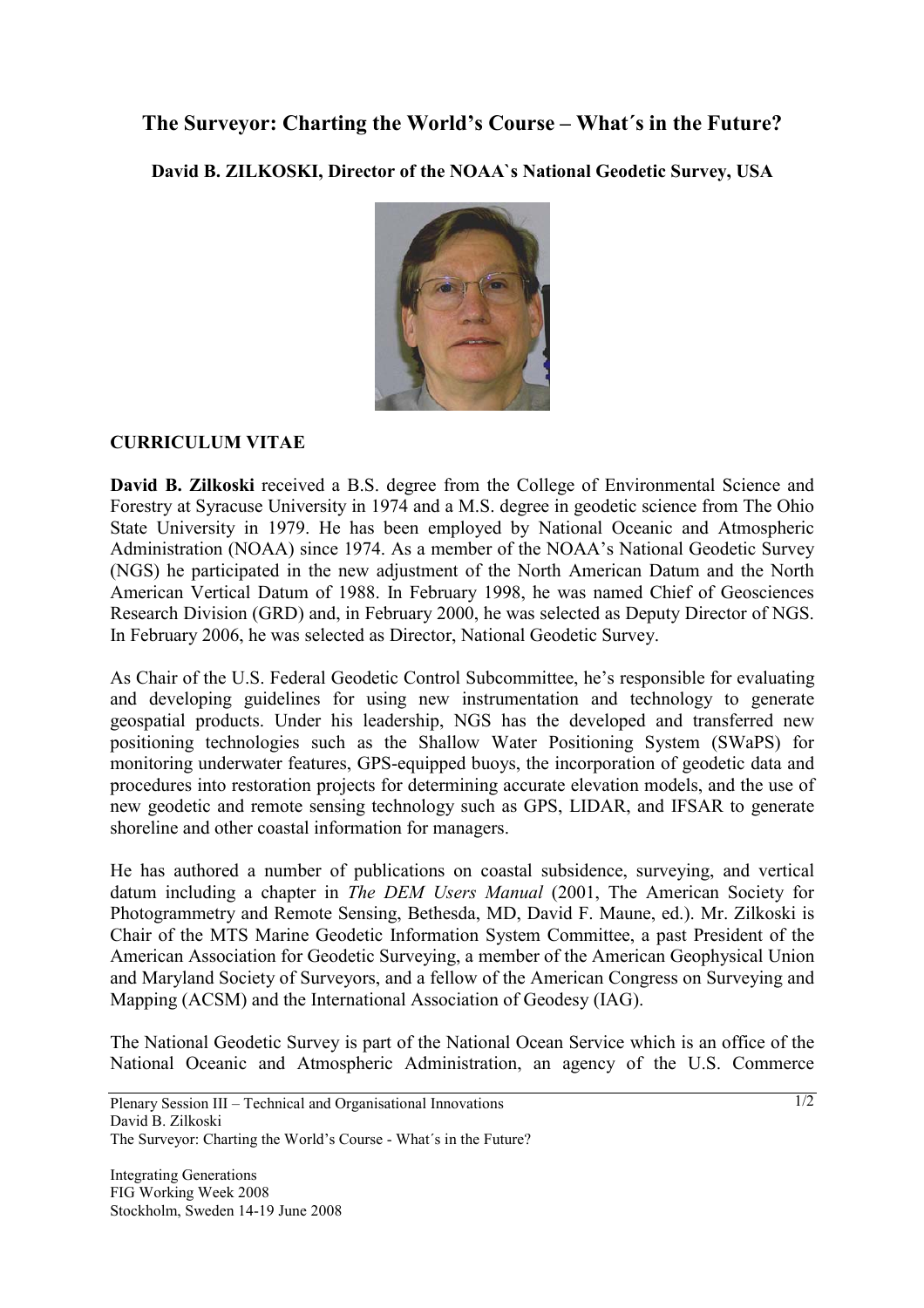## **The Surveyor: Charting the World's Course – What´s in the Future?**

**David B. ZILKOSKI, Director of the NOAA`s National Geodetic Survey, USA** 



## **CURRICULUM VITAE**

**David B. Zilkoski** received a B.S. degree from the College of Environmental Science and Forestry at Syracuse University in 1974 and a M.S. degree in geodetic science from The Ohio State University in 1979. He has been employed by National Oceanic and Atmospheric Administration (NOAA) since 1974. As a member of the NOAA's National Geodetic Survey (NGS) he participated in the new adjustment of the North American Datum and the North American Vertical Datum of 1988. In February 1998, he was named Chief of Geosciences Research Division (GRD) and, in February 2000, he was selected as Deputy Director of NGS. In February 2006, he was selected as Director, National Geodetic Survey.

As Chair of the U.S. Federal Geodetic Control Subcommittee, he's responsible for evaluating and developing guidelines for using new instrumentation and technology to generate geospatial products. Under his leadership, NGS has the developed and transferred new positioning technologies such as the Shallow Water Positioning System (SWaPS) for monitoring underwater features, GPS-equipped buoys, the incorporation of geodetic data and procedures into restoration projects for determining accurate elevation models, and the use of new geodetic and remote sensing technology such as GPS, LIDAR, and IFSAR to generate shoreline and other coastal information for managers.

He has authored a number of publications on coastal subsidence, surveying, and vertical datum including a chapter in *The DEM Users Manual* (2001, The American Society for Photogrammetry and Remote Sensing, Bethesda, MD, David F. Maune, ed.). Mr. Zilkoski is Chair of the MTS Marine Geodetic Information System Committee, a past President of the American Association for Geodetic Surveying, a member of the American Geophysical Union and Maryland Society of Surveyors, and a fellow of the American Congress on Surveying and Mapping (ACSM) and the International Association of Geodesy (IAG).

The National Geodetic Survey is part of the National Ocean Service which is an office of the National Oceanic and Atmospheric Administration, an agency of the U.S. Commerce